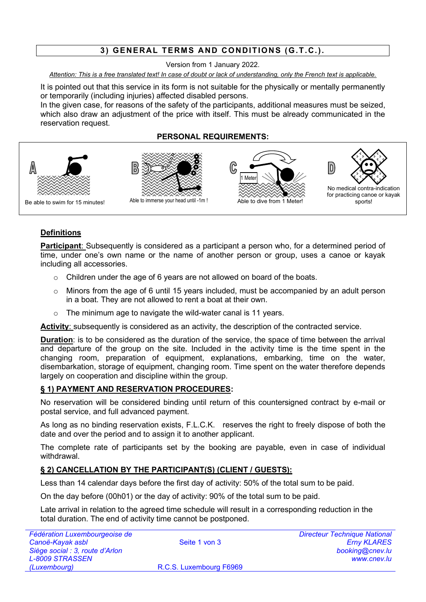# **3) GENERAL TERMS AND CONDITIONS (G.T.C.).**

Version from 1 January 2022.

*Attention: This is a free translated text! In case of doubt or lack of understanding, only the French text is applicable.*

It is pointed out that this service in its form is not suitable for the physically or mentally permanently or temporarily (including injuries) affected disabled persons.

In the given case, for reasons of the safety of the participants, additional measures must be seized, which also draw an adjustment of the price with itself. This must be already communicated in the reservation request.

# **PERSONAL REQUIREMENTS:**



# **Definitions**

**Participant**: Subsequently is considered as a participant a person who, for a determined period of time, under one's own name or the name of another person or group, uses a canoe or kayak including all accessories.

- o Children under the age of 6 years are not allowed on board of the boats.
- $\circ$  Minors from the age of 6 until 15 years included, must be accompanied by an adult person in a boat. They are not allowed to rent a boat at their own.
- $\circ$  The minimum age to navigate the wild-water canal is 11 years.

**Activity**: subsequently is considered as an activity, the description of the contracted service.

**Duration**: is to be considered as the duration of the service, the space of time between the arrival and departure of the group on the site. Included in the activity time is the time spent in the changing room, preparation of equipment, explanations, embarking, time on the water, disembarkation, storage of equipment, changing room. Time spent on the water therefore depends largely on cooperation and discipline within the group.

# **§ 1) PAYMENT AND RESERVATION PROCEDURES:**

No reservation will be considered binding until return of this countersigned contract by e-mail or postal service, and full advanced payment.

As long as no binding reservation exists, F.L.C.K. reserves the right to freely dispose of both the date and over the period and to assign it to another applicant.

The complete rate of participants set by the booking are payable, even in case of individual withdrawal.

# **§ 2) CANCELLATION BY THE PARTICIPANT(S) (CLIENT / GUESTS):**

Less than 14 calendar days before the first day of activity: 50% of the total sum to be paid.

On the day before (00h01) or the day of activity: 90% of the total sum to be paid.

Late arrival in relation to the agreed time schedule will result in a corresponding reduction in the total duration. The end of activity time cannot be postponed.

| Fédération Luxembourgeoise de   |                         | <b>Directeur Technique National</b> |
|---------------------------------|-------------------------|-------------------------------------|
| Canoë-Kayak asbl                | Seite 1 von 3           | <b>Erny KLARES</b>                  |
| Siège social : 3, route d'Arlon |                         | booking@cnev.lu                     |
| <b>L-8009 STRASSEN</b>          |                         | www.cnev.lu                         |
| (Luxembourg)                    | R.C.S. Luxembourg F6969 |                                     |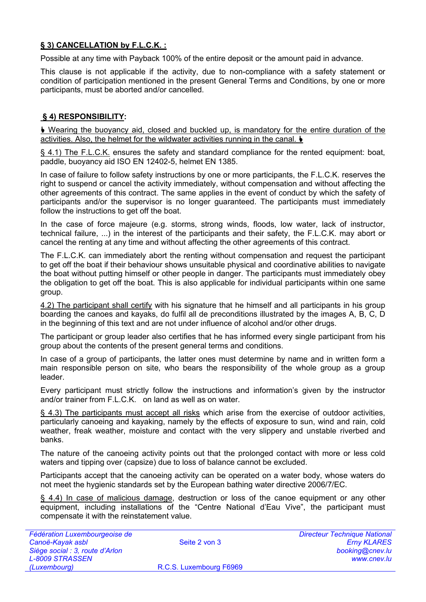# **§ 3) CANCELLATION by F.L.C.K. :**

Possible at any time with Payback 100% of the entire deposit or the amount paid in advance.

This clause is not applicable if the activity, due to non-compliance with a safety statement or condition of participation mentioned in the present General Terms and Conditions, by one or more participants, must be aborted and/or cancelled.

# **§ 4) RESPONSIBILITY:**

 Wearing the buoyancy aid, closed and buckled up, is mandatory for the entire duration of the activities. Also, the helmet for the wildwater activities running in the canal.

§ 4.1) The F.L.C.K. ensures the safety and standard compliance for the rented equipment: boat. paddle, buoyancy aid ISO EN 12402-5, helmet EN 1385.

In case of failure to follow safety instructions by one or more participants, the F.L.C.K. reserves the right to suspend or cancel the activity immediately, without compensation and without affecting the other agreements of this contract. The same applies in the event of conduct by which the safety of participants and/or the supervisor is no longer guaranteed. The participants must immediately follow the instructions to get off the boat.

In the case of force majeure (e.g. storms, strong winds, floods, low water, lack of instructor, technical failure, ...) in the interest of the participants and their safety, the F.L.C.K. may abort or cancel the renting at any time and without affecting the other agreements of this contract.

The F.L.C.K. can immediately abort the renting without compensation and request the participant to get off the boat if their behaviour shows unsuitable physical and coordinative abilities to navigate the boat without putting himself or other people in danger. The participants must immediately obey the obligation to get off the boat. This is also applicable for individual participants within one same group.

4.2) The participant shall certify with his signature that he himself and all participants in his group boarding the canoes and kayaks, do fulfil all de preconditions illustrated by the images A, B, C, D in the beginning of this text and are not under influence of alcohol and/or other drugs.

The participant or group leader also certifies that he has informed every single participant from his group about the contents of the present general terms and conditions.

In case of a group of participants, the latter ones must determine by name and in written form a main responsible person on site, who bears the responsibility of the whole group as a group leader.

Every participant must strictly follow the instructions and information's given by the instructor and/or trainer from F.L.C.K. on land as well as on water.

§ 4.3) The participants must accept all risks which arise from the exercise of outdoor activities, particularly canoeing and kayaking, namely by the effects of exposure to sun, wind and rain, cold weather, freak weather, moisture and contact with the very slippery and unstable riverbed and banks.

The nature of the canoeing activity points out that the prolonged contact with more or less cold waters and tipping over (capsize) due to loss of balance cannot be excluded.

Participants accept that the canoeing activity can be operated on a water body, whose waters do not meet the hygienic standards set by the European bathing water directive 2006/7/EC.

§ 4.4) In case of malicious damage, destruction or loss of the canoe equipment or any other equipment, including installations of the "Centre National d'Eau Vive", the participant must compensate it with the reinstatement value.